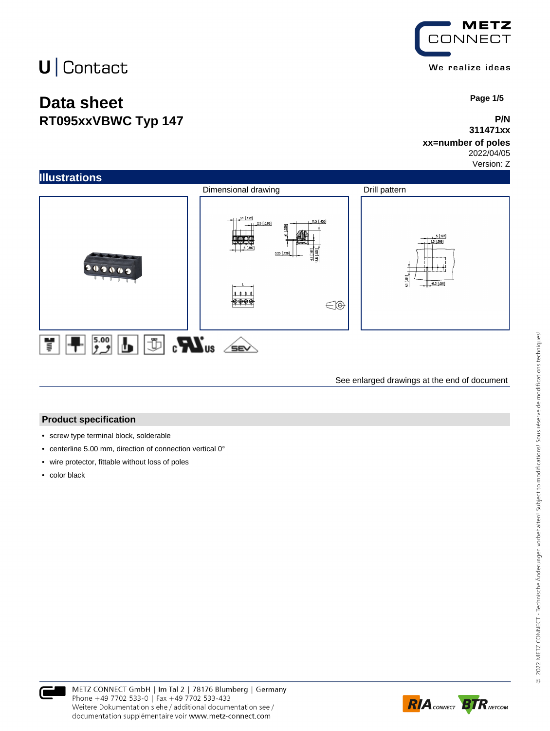## **Data sheet RT095xxVBWC Typ 147**



 **Page 1/5**

### **P/N 311471xx**

## **xx=number of poles**

2022/04/05 Version: Z



See enlarged drawings at the end of document

#### **Product specification**

- screw type terminal block, solderable
- centerline 5.00 mm, direction of connection vertical 0°
- wire protector, fittable without loss of poles
- color black



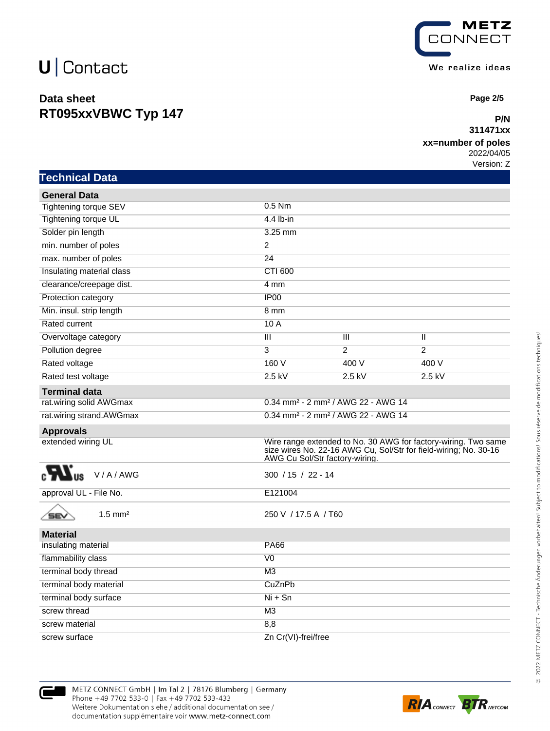**Technical Data**

## **Data sheet RT095xxVBWC Typ 147**



 **Page 2/5**

#### **P/N 311471xx**

#### **xx=number of poles**

2022/04/05 Version: Z

| <b>General Data</b>                 |                           |                                                                                                                                                                      |                         |  |  |
|-------------------------------------|---------------------------|----------------------------------------------------------------------------------------------------------------------------------------------------------------------|-------------------------|--|--|
| <b>Tightening torque SEV</b>        | $0.5$ Nm                  |                                                                                                                                                                      |                         |  |  |
| Tightening torque UL                | 4.4 lb-in                 |                                                                                                                                                                      |                         |  |  |
| Solder pin length                   | 3.25 mm                   |                                                                                                                                                                      |                         |  |  |
| min. number of poles                | $\overline{2}$            |                                                                                                                                                                      |                         |  |  |
| max. number of poles                | $\overline{24}$           |                                                                                                                                                                      |                         |  |  |
| Insulating material class           | <b>CTI 600</b>            |                                                                                                                                                                      |                         |  |  |
| clearance/creepage dist.            | 4 mm                      |                                                                                                                                                                      |                         |  |  |
| Protection category                 | IP <sub>00</sub>          |                                                                                                                                                                      |                         |  |  |
| Min. insul. strip length            | 8 mm                      |                                                                                                                                                                      |                         |  |  |
| <b>Rated current</b>                | 10A                       |                                                                                                                                                                      |                         |  |  |
| Overvoltage category                | $\overline{\mathbf{III}}$ | $\overline{\mathsf{III}}$                                                                                                                                            | $\overline{\mathsf{I}}$ |  |  |
| Pollution degree                    | 3                         | $\overline{2}$                                                                                                                                                       | $\overline{2}$          |  |  |
| Rated voltage                       | 160 V                     | 400 V                                                                                                                                                                | 400 V                   |  |  |
| Rated test voltage                  | $2.5$ kV                  | $2.5$ kV                                                                                                                                                             | $2.5$ kV                |  |  |
| <b>Terminal data</b>                |                           |                                                                                                                                                                      |                         |  |  |
| rat.wiring solid AWGmax             |                           | 0.34 mm <sup>2</sup> - 2 mm <sup>2</sup> / AWG 22 - AWG 14                                                                                                           |                         |  |  |
| rat.wiring strand.AWGmax            |                           | 0.34 mm <sup>2</sup> - 2 mm <sup>2</sup> / AWG 22 - AWG 14                                                                                                           |                         |  |  |
| <b>Approvals</b>                    |                           |                                                                                                                                                                      |                         |  |  |
| extended wiring UL                  |                           | Wire range extended to No. 30 AWG for factory-wiring. Two same<br>size wires No. 22-16 AWG Cu, Sol/Str for field-wiring; No. 30-16<br>AWG Cu Sol/Str factory-wiring. |                         |  |  |
| V/A/AWG                             |                           | $300 / 15 / 22 - 14$                                                                                                                                                 |                         |  |  |
| approval UL - File No.              | E121004                   |                                                                                                                                                                      |                         |  |  |
| $1.5$ mm <sup>2</sup><br><b>SEV</b> |                           | 250 V / 17.5 A / T60                                                                                                                                                 |                         |  |  |
| <b>Material</b>                     |                           |                                                                                                                                                                      |                         |  |  |
| insulating material                 | <b>PA66</b>               |                                                                                                                                                                      |                         |  |  |
| flammability class                  | V <sub>0</sub>            |                                                                                                                                                                      |                         |  |  |
| terminal body thread                | M <sub>3</sub>            |                                                                                                                                                                      |                         |  |  |
| terminal body material              | CuZnPb                    |                                                                                                                                                                      |                         |  |  |
| terminal body surface               | $Ni + Sn$                 |                                                                                                                                                                      |                         |  |  |
| screw thread                        | M <sub>3</sub>            |                                                                                                                                                                      |                         |  |  |
| screw material                      | 8,8                       |                                                                                                                                                                      |                         |  |  |





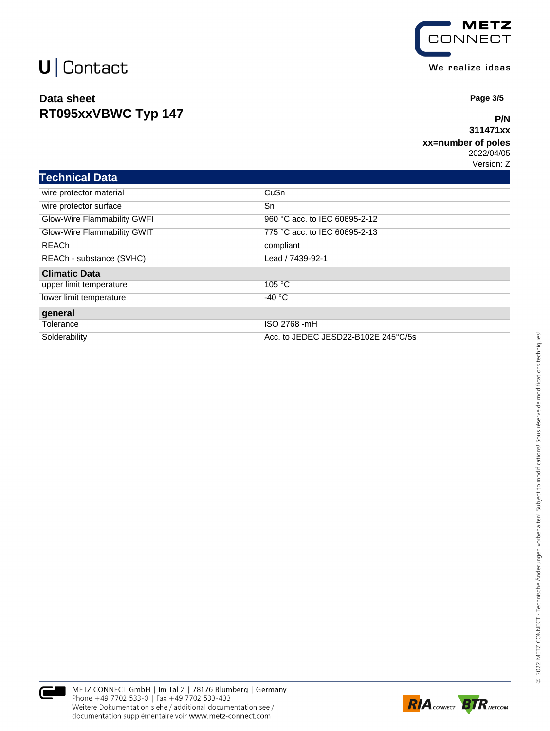## **Data sheet RT095xxVBWC Typ 147**



We realize ideas

 **Page 3/5**

#### **P/N 311471xx**

### **xx=number of poles**

2022/04/05 Version: Z

| <b>Technical Data</b>       |                                     |  |
|-----------------------------|-------------------------------------|--|
| wire protector material     | CuSn                                |  |
| wire protector surface      | Sn                                  |  |
| Glow-Wire Flammability GWFI | 960 °C acc. to IEC 60695-2-12       |  |
| Glow-Wire Flammability GWIT | 775 °C acc. to IEC 60695-2-13       |  |
| REACh                       | compliant                           |  |
| REACh - substance (SVHC)    | Lead / 7439-92-1                    |  |
| <b>Climatic Data</b>        |                                     |  |
| upper limit temperature     | 105 °C                              |  |
| lower limit temperature     | $-40 °C$                            |  |
| general                     |                                     |  |
| Tolerance                   | ISO 2768 -mH                        |  |
| Solderability               | Acc. to JEDEC JESD22-B102E 245°C/5s |  |



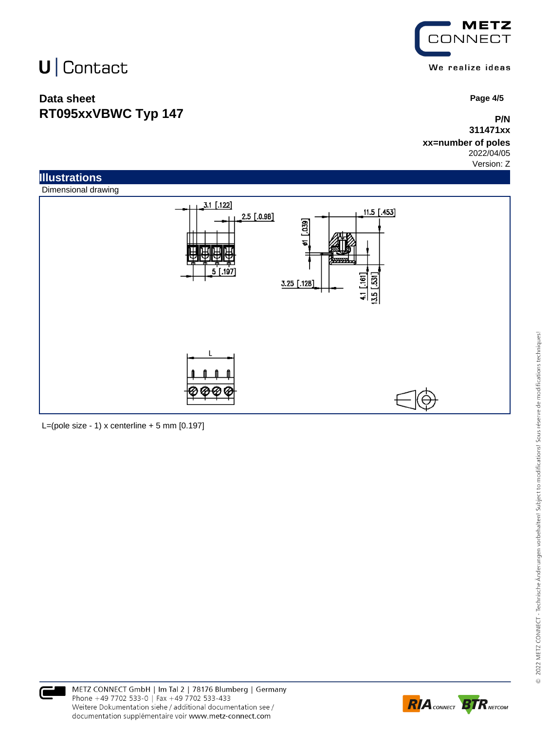## **Data sheet RT095xxVBWC Typ 147**



 **Page 4/5**

**P/N 311471xx**

#### **xx=number of poles** 2022/04/05

Version: Z



L=(pole size - 1) x centerline  $+5$  mm  $[0.197]$